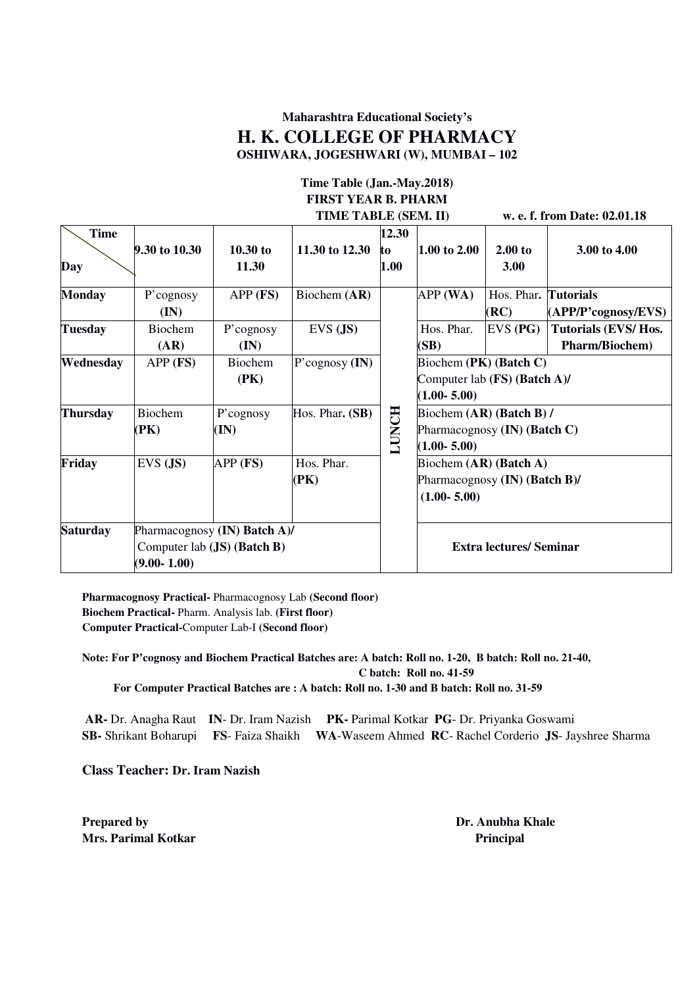### **Maharashtra Educational Society's H. K. COLLEGE OF PHARMACY OSHIWARA, JOGESHWARI (W), MUMBAI – 102**

#### **Time Table (Jan.-May.2018) FIRST YEAR B. PHARM TIME TABLE (SEM. II) w. e. f. from Date: 02.01.18**

| w. e. f. from Date: 02.01.1 |  |  |  |
|-----------------------------|--|--|--|
|-----------------------------|--|--|--|

|                                                 | мы тирые (рым. н) |                             |                  |              |                               | $\alpha$ is in our <i>Duce</i> , $\alpha$ , $\alpha$ , $\alpha$ , $\alpha$ |                       |  |
|-------------------------------------------------|-------------------|-----------------------------|------------------|--------------|-------------------------------|----------------------------------------------------------------------------|-----------------------|--|
| <b>Time</b>                                     |                   |                             |                  | 12.30        |                               |                                                                            |                       |  |
|                                                 | 9.30 to 10.30     | $10.30$ to                  | 11.30 to 12.30   | to           | 1.00 to 2.00                  | 2.00 to                                                                    | 3.00 to 4.00          |  |
| Day                                             |                   | 11.30                       |                  | 1.00         |                               | 3.00                                                                       |                       |  |
| <b>Monday</b>                                   | P'cognosy         | $APP$ (FS)                  | Biochem (AR)     |              | APP(WA)                       | Hos. Phar.                                                                 | <b>Tutorials</b>      |  |
|                                                 | (IN)              |                             |                  |              |                               | (RC)                                                                       | (APP/P'cognosy/EVS)   |  |
| <b>Tuesday</b>                                  | Biochem           | P'cognosy                   | $EVS$ $(JS)$     |              | Hos. Phar.                    | $EVS$ (PG)                                                                 | Tutorials (EVS/Hos.   |  |
|                                                 | (AR)              | $(\mathbf{IN})$             |                  |              | (SB)                          |                                                                            | <b>Pharm/Biochem)</b> |  |
| Wednesday                                       | $APP$ (FS)        | Biochem                     | P'cognosy $(IN)$ |              | Biochem (PK) (Batch C)        |                                                                            |                       |  |
|                                                 |                   | (PK)                        |                  |              | Computer lab (FS) (Batch A)/  |                                                                            |                       |  |
|                                                 |                   |                             |                  |              | $(1.00 - 5.00)$               |                                                                            |                       |  |
| Thursday                                        | Biochem           | P'cognosy                   | Hos. Phar. (SB)  |              | Biochem (AR) (Batch B) /      |                                                                            |                       |  |
|                                                 | (PK)              | (IN)                        |                  | <b>LUNCH</b> | Pharmacognosy (IN) (Batch C)  |                                                                            |                       |  |
|                                                 |                   |                             |                  |              | $(1.00 - 5.00)$               |                                                                            |                       |  |
| Friday                                          | $EVS$ $(JS)$      | $APP$ (FS)                  | Hos. Phar.       |              | Biochem (AR) (Batch A)        |                                                                            |                       |  |
|                                                 |                   |                             | (PK)             |              | Pharmacognosy (IN) (Batch B)/ |                                                                            |                       |  |
|                                                 |                   |                             |                  |              | $(1.00 - 5.00)$               |                                                                            |                       |  |
|                                                 |                   |                             |                  |              |                               |                                                                            |                       |  |
| <b>Saturday</b><br>Pharmacognosy (IN) Batch A)/ |                   |                             |                  |              |                               |                                                                            |                       |  |
|                                                 |                   | Computer lab (JS) (Batch B) |                  |              |                               | <b>Extra lectures/ Seminar</b>                                             |                       |  |
| $(9.00 - 1.00)$                                 |                   |                             |                  |              |                               |                                                                            |                       |  |

**Pharmacognosy Practical-** Pharmacognosy Lab **(Second floor) Biochem Practical-** Pharm. Analysis lab. **(First floor) Computer Practical-**Computer Lab-I **(Second floor)** 

**Note: For P'cognosy and Biochem Practical Batches are: A batch: Roll no. 1-20, B batch: Roll no. 21-40, C batch: Roll no. 41-59 For Computer Practical Batches are : A batch: Roll no. 1-30 and B batch: Roll no. 31-59** 

 **AR-** Dr. Anagha Raut **IN**- Dr. Iram Nazish **PK-** Parimal Kotkar **PG**- Dr. Priyanka Goswami **SB-** Shrikant Boharupi **FS**- Faiza Shaikh **WA**-Waseem Ahmed **RC**- Rachel Corderio **JS**- Jayshree Sharma

**Class Teacher: Dr. Iram Nazish** 

**Prepared by Dr. Anubha Khale Dr. Anubha Khale Mrs. Parimal Kotkar Principal** *Principal*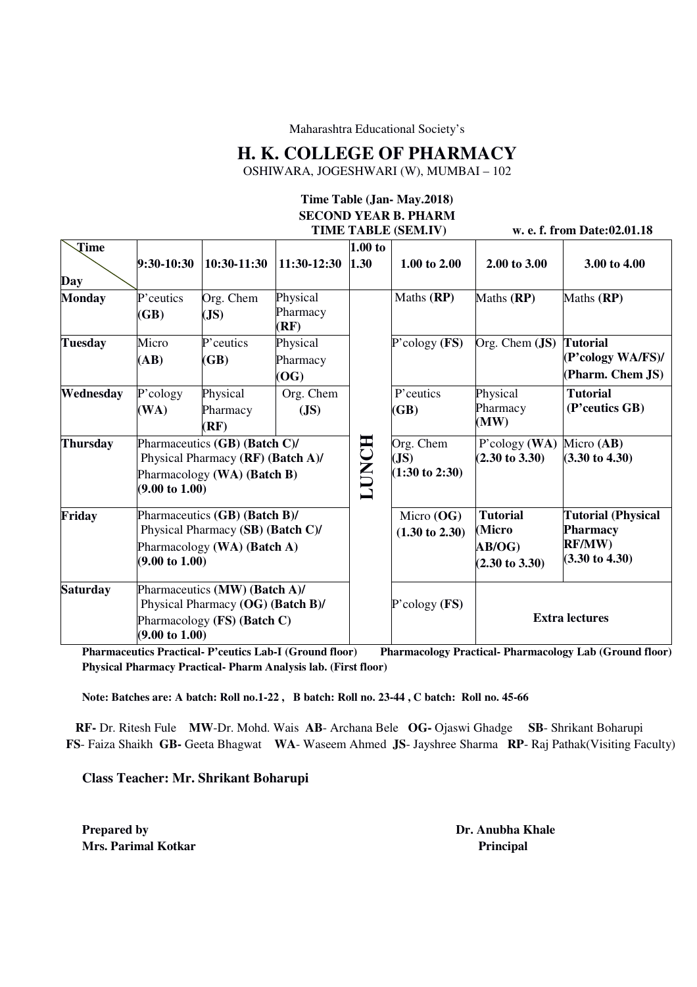Maharashtra Educational Society's

### **H. K. COLLEGE OF PHARMACY**

OSHIWARA, JOGESHWARI (W), MUMBAI – 102

# **Time Table (Jan- May.2018) SECOND YEAR B. PHARM**

 **TIME TABLE (SEM.IV) w. e. f. from Date:02.01.18 Time Day 9:30-10:30 10:30-11:30 11:30-12:30 1.00 to 1.30 1.00 to 2.00 2.00 to 3.00 3.00 to 4.00 Monday** P'ceutics **(GB)**  Org. Chem **(JS)**  Physical Pharmacy **(RF) LUNCH**  Maths **(RP)** Maths **(RP)** Maths **(RP) Tuesday** Micro **(AB)**  P'ceutics **(GB)**  Physical Pharmacy **(OG)**  P'cology **(FS)** Org. Chem **(JS) Tutorial (P'cology WA/FS)/ (Pharm. Chem JS) Wednesday** P'cology **(WA)**  Physical Pharmacy **(RF)**  Org. Chem **(JS)**  P'ceutics **(GB)**  Physical Pharmacy **(MW) Tutorial (P'ceutics GB) Thursday** Pharmaceutics **(GB) (Batch C)/**  Physical Pharmacy **(RF) (Batch A)/**  Pharmacology **(WA) (Batch B) (9.00 to 1.00)**  Org. Chem **(JS) (1:30 to 2:30)**  P'cology **(WA) (2.30 to 3.30)**  Micro **(AB) (3.30 to 4.30) Friday** Pharmaceutics **(GB) (Batch B)/**  Physical Pharmacy **(SB) (Batch C)/**  Pharmacology **(WA) (Batch A) (9.00 to 1.00)**  Micro **(OG) (1.30 to 2.30) Tutorial (Micro AB/OG) (2.30 to 3.30) Tutorial (Physical Pharmacy RF/MW) (3.30 to 4.30) Saturday** Pharmaceutics **(MW) (Batch A)/**  Physical Pharmacy **(OG) (Batch B)/**  Pharmacology **(FS) (Batch C) (9.00 to 1.00)**  P'cology **(FS) Extra lectures**

**Pharmaceutics Practical- P'ceutics Lab-I (Ground floor)** Pharmacology Practical- Pharmacology Lab (Ground floor) **Physical Pharmacy Practical- Pharm Analysis lab. (First floor)** 

**Note: Batches are: A batch: Roll no.1-22 , B batch: Roll no. 23-44 , C batch: Roll no. 45-66** 

 **RF-** Dr. Ritesh Fule **MW**-Dr. Mohd. Wais **AB**- Archana Bele **OG-** Ojaswi Ghadge **SB**- Shrikant Boharupi **FS**- Faiza Shaikh **GB-** Geeta Bhagwat **WA**- Waseem Ahmed **JS**- Jayshree Sharma **RP**- Raj Pathak(Visiting Faculty)

**Class Teacher: Mr. Shrikant Boharupi** 

**Prepared by Dr. Anubha Khale Dr. Anubha Khale Mrs. Parimal Kotkar Principal** *Mrs.* **Principal** *Principal* **Principal <b>Principal**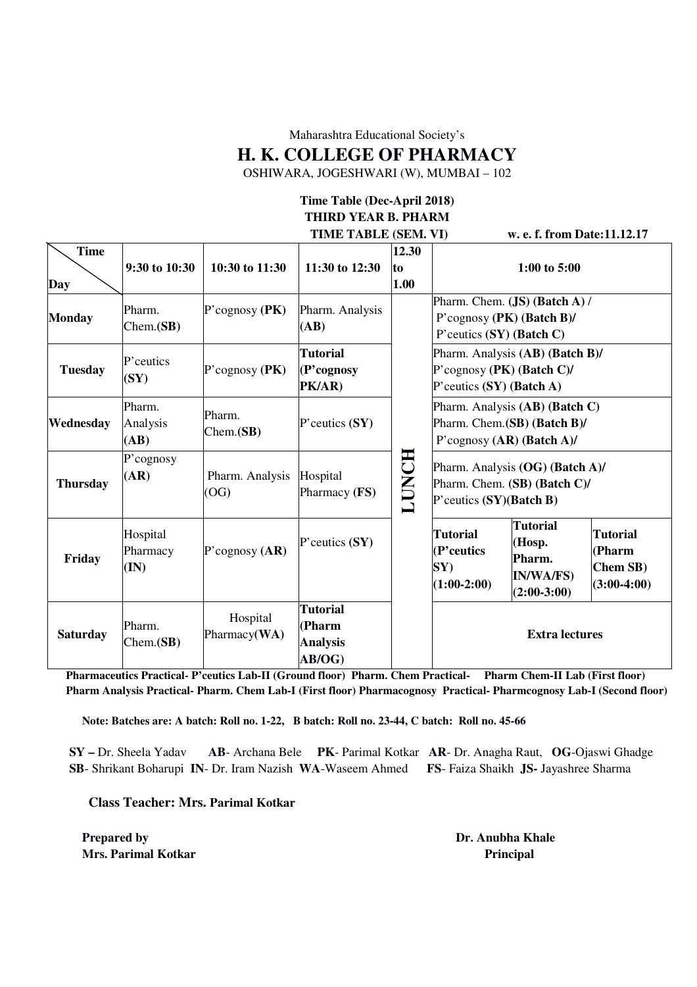Maharashtra Educational Society's

**H. K. COLLEGE OF PHARMACY** 

OSHIWARA, JOGESHWARI (W), MUMBAI – 102

## **Time Table (Dec-April 2018) THIRD YEAR B. PHARM**

|                    |                              |                          | TIME TABLE (SEM. VI)                                  |                     |                                                                                                 | w. e. f. from Date: 11.12.17                                                                |                                                        |  |
|--------------------|------------------------------|--------------------------|-------------------------------------------------------|---------------------|-------------------------------------------------------------------------------------------------|---------------------------------------------------------------------------------------------|--------------------------------------------------------|--|
| <b>Time</b><br>Day | 9:30 to 10:30                | 10:30 to 11:30           | 11:30 to 12:30                                        | 12.30<br>to<br>1.00 |                                                                                                 | 1:00 to 5:00                                                                                |                                                        |  |
| <b>Monday</b>      | Pharm.<br>Chem(SB)           | P'cognosy $(PK)$         | Pharm. Analysis<br>(AB)                               |                     | P' ceutics $(SY)$ (Batch C)                                                                     | Pharm. Chem. (JS) (Batch A) /<br>P'cognosy (PK) (Batch B)/                                  |                                                        |  |
| <b>Tuesday</b>     | P'ceutics<br>(SY)            | P'cognosy $(PK)$         | <b>Tutorial</b><br>(P'cognosy<br>PK/AR)               |                     | P'cognosy (PK) (Batch C)/<br>P' ceutics $(SY)$ (Batch A)                                        | Pharm. Analysis (AB) (Batch B)/                                                             |                                                        |  |
| Wednesday          | Pharm.<br>Analysis<br>(AB)   | Pharm.<br>Chem(SB)       | $P$ 'ceutics $(SY)$                                   |                     |                                                                                                 | Pharm. Analysis (AB) (Batch C)<br>Pharm. Chem. (SB) (Batch B)/<br>P'cognosy (AR) (Batch A)/ |                                                        |  |
| <b>Thursday</b>    | P'cognosy<br>(AR)            | Pharm. Analysis<br>(OG)  | Hospital<br>Pharmacy (FS)                             | LUNCH               | Pharm. Analysis (OG) (Batch A)/<br>Pharm. Chem. (SB) (Batch C)/<br>$P$ 'ceutics $(SY)(Batch B)$ |                                                                                             |                                                        |  |
| Friday             | Hospital<br>Pharmacy<br>(IN) | P'cognosy $(AR)$         | $P$ 'ceutics $(SY)$                                   |                     | <b>Tutorial</b><br>(P'ceutics<br>SY)<br>$(1:00-2:00)$                                           | <b>Tutorial</b><br>(Hosp.<br>Pharm.<br><b>IN/WA/FS)</b><br>$(2:00-3:00)$                    | <b>Tutorial</b><br>(Pharm<br>Chem SB)<br>$(3:00-4:00)$ |  |
| <b>Saturday</b>    | Pharm.<br>Chem.(SB)          | Hospital<br>Pharmacy(WA) | <b>Tutorial</b><br>(Pharm<br><b>Analysis</b><br>AB/OG |                     |                                                                                                 | <b>Extra lectures</b>                                                                       |                                                        |  |

**Pharmaceutics Practical- P'ceutics Lab-II (Ground floor) Pharm. Chem Practical- Pharm Chem-II Lab (First floor) Pharm Analysis Practical- Pharm. Chem Lab-I (First floor) Pharmacognosy Practical- Pharmcognosy Lab-I (Second floor)** 

**Note: Batches are: A batch: Roll no. 1-22, B batch: Roll no. 23-44, C batch: Roll no. 45-66** 

**SY –** Dr. Sheela Yadav **AB**- Archana Bele **PK**- Parimal Kotkar **AR**- Dr. Anagha Raut, **OG**-Ojaswi Ghadge  **SB**- Shrikant Boharupi **IN**- Dr. Iram Nazish **WA**-Waseem Ahmed **FS**- Faiza Shaikh **JS-** Jayashree Sharma

**Class Teacher: Mrs. Parimal Kotkar**

**Prepared by Dr. Anubha Khale Dr. Anubha Khale Mrs. Parimal Kotkar Principal** *Principal*